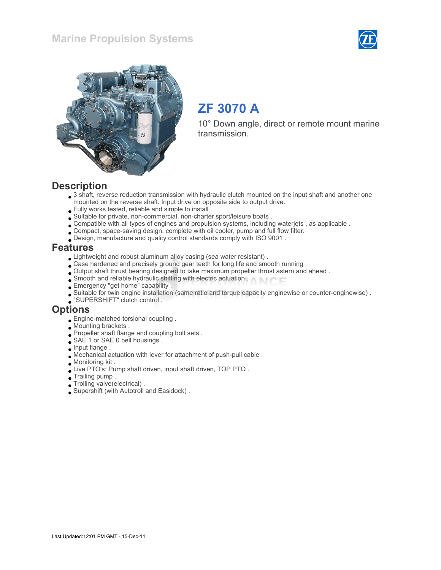



# ZF 3070 A

10° Down angle, direct or remote mount marine transmission.

#### **Description**

- 3 shaft, reverse reduction transmission with hydraulic clutch mounted on the input shaft and another one mounted on the reverse shaft. Input drive on opposite side to output drive.
- Fully works tested, reliable and simple to install .
- Suitable for private, non-commercial, non-charter sport/leisure boats .
- Compatible with all types of engines and propulsion systems, including waterjets , as applicable .
- Compact, space-saving design, complete with oil cooler, pump and full flow filter.
- Design, manufacture and quality control standards comply with ISO 9001 .

#### Features

- Lightweight and robust aluminum alloy casing (sea water resistant) .
- $\bullet$  Case hardened and precisely ground gear teeth for long life and smooth running .
- Output shaft thrust bearing designed to take maximum propeller thrust astern and ahead .
- Smooth and reliable hydraulic shifting with electric actuation .
- Emergency "get home" capability .
- Suitable for twin engine installation (same ratio and torque capacity enginewise or counter-enginewise) .
- "SUPERSHIFT" clutch control .

#### **Options**

- Engine-matched torsional coupling .
- Mounting brackets .
- Propeller shaft flange and coupling bolt sets .
- SAE 1 or SAE 0 bell housings.
- $\bullet$  Input flange.
- Mechanical actuation with lever for attachment of push-pull cable .
- Monitoring kit .
- Live PTO's: Pump shaft driven, input shaft driven, TOP PTO .
- Trailing pump .
- Trolling valve(electrical) .
- Supershift (with Autotroll and Easidock) .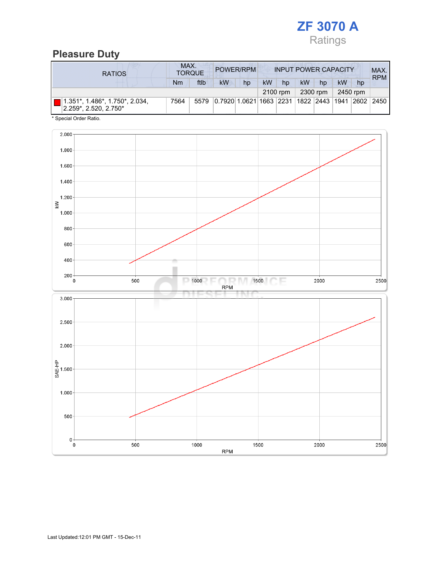

# Pleasure Duty

| <b>RATIOS</b>                                                          | MAX.<br>POWER/RPM<br><b>INPUT POWER CAPACITY</b><br><b>TORQUE</b> |      |                                                         |    |    |          |    |          |    | MAX.<br><b>RPM</b> |  |
|------------------------------------------------------------------------|-------------------------------------------------------------------|------|---------------------------------------------------------|----|----|----------|----|----------|----|--------------------|--|
|                                                                        | Nm                                                                | ftlb | <b>kW</b>                                               | hp | kW | hp       | kW | hp       | kW | hp                 |  |
|                                                                        |                                                                   |      |                                                         |    |    | 2100 rpm |    | 2300 rpm |    | 2450 rpm           |  |
| $1.351^*$ , $1.486^*$ , $1.750^*$ , $2.034$ ,<br>2.259*, 2.520, 2.750* | 7564                                                              | 5579 | 0.7920 1.0621 1663  2231  1822  2443  1941  2602   2450 |    |    |          |    |          |    |                    |  |

\* Special Order Ratio.

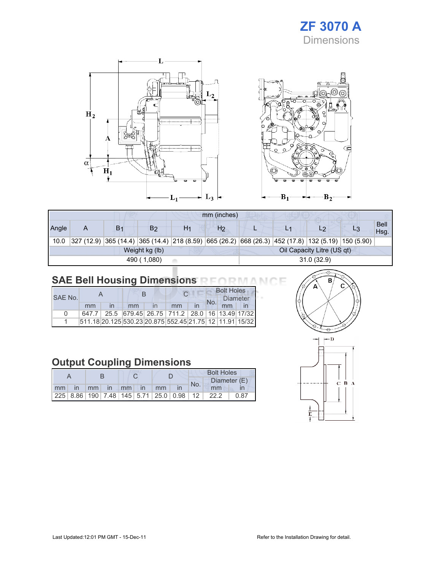# ZF 3070 A Dimensions



|                           |   |                |                |    | mm (inches)    |  |                                                                                                      |                            |                     |
|---------------------------|---|----------------|----------------|----|----------------|--|------------------------------------------------------------------------------------------------------|----------------------------|---------------------|
| Angle                     | A | B <sub>1</sub> | B2             | H1 | H <sub>2</sub> |  |                                                                                                      | L2                         | <b>Bell</b><br>Hsg. |
| 10.0                      |   |                |                |    |                |  | $327$ (12.9) 365 (14.4) 365 (14.4) 218 (8.59) 665 (26.2) 668 (26.3) 452 (17.8) 132 (5.19) 150 (5.90) |                            |                     |
|                           |   |                | Weight kg (lb) |    |                |  |                                                                                                      | Oil Capacity Litre (US qt) |                     |
| 31.0(32.9)<br>490 (1,080) |   |                |                |    |                |  |                                                                                                      |                            |                     |

# SAE Bell Housing Dimensions RFORMANCE

| SAF No.      |       |  |    |  |                                                                 |  | <b>Bolt Holes</b> |  |  |  |
|--------------|-------|--|----|--|-----------------------------------------------------------------|--|-------------------|--|--|--|
|              |       |  |    |  |                                                                 |  | Diameter          |  |  |  |
|              | mm    |  | mm |  | mm                                                              |  |                   |  |  |  |
| <sup>n</sup> | 647.7 |  |    |  | 25.5 679.45 26.75 711.2 28.0 16 13.49 17/32                     |  |                   |  |  |  |
|              |       |  |    |  | 511.18 20.125 530.23 20.875  552.45  21.75   12   11.91   15/32 |  |                   |  |  |  |

# Output Coupling Dimensions

|       |  |                |  |  |  | <b>Bolt Holes</b> |     |                                                 |              |
|-------|--|----------------|--|--|--|-------------------|-----|-------------------------------------------------|--------------|
|       |  |                |  |  |  |                   | No. |                                                 | Diameter (E) |
| mm in |  | mm in mm in mm |  |  |  |                   |     | mm                                              |              |
|       |  |                |  |  |  |                   |     | $ 225 8.86 190 7.48 145 5.71 25.0 0.98 12 22.2$ | 0.87         |